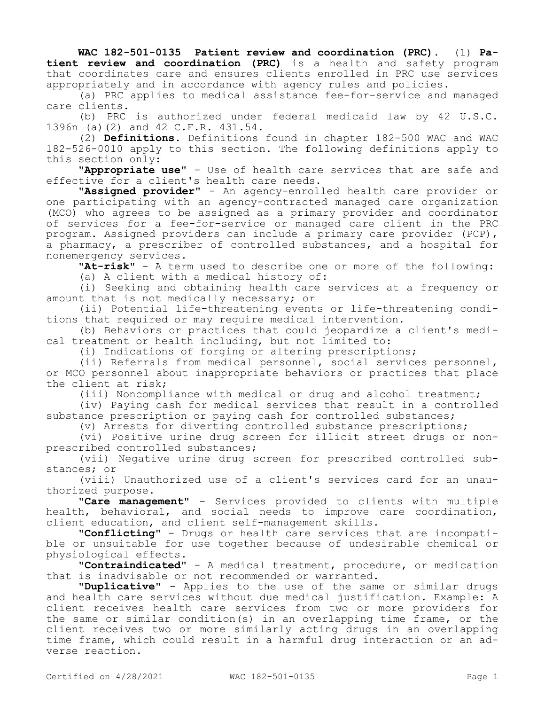**WAC 182-501-0135 Patient review and coordination (PRC).** (1) **Patient review and coordination (PRC)** is a health and safety program that coordinates care and ensures clients enrolled in PRC use services appropriately and in accordance with agency rules and policies.

(a) PRC applies to medical assistance fee-for-service and managed care clients.

(b) PRC is authorized under federal medicaid law by 42 U.S.C. 1396n (a)(2) and 42 C.F.R. 431.54.

(2) **Definitions.** Definitions found in chapter 182-500 WAC and WAC 182-526-0010 apply to this section. The following definitions apply to this section only:

**"Appropriate use"** - Use of health care services that are safe and effective for a client's health care needs.

**"Assigned provider"** - An agency-enrolled health care provider or one participating with an agency-contracted managed care organization (MCO) who agrees to be assigned as a primary provider and coordinator of services for a fee-for-service or managed care client in the PRC program. Assigned providers can include a primary care provider (PCP), a pharmacy, a prescriber of controlled substances, and a hospital for nonemergency services.

**"At-risk"** - A term used to describe one or more of the following:

(a) A client with a medical history of:

(i) Seeking and obtaining health care services at a frequency or amount that is not medically necessary; or

(ii) Potential life-threatening events or life-threatening conditions that required or may require medical intervention.

(b) Behaviors or practices that could jeopardize a client's medical treatment or health including, but not limited to:

(i) Indications of forging or altering prescriptions;

(ii) Referrals from medical personnel, social services personnel, or MCO personnel about inappropriate behaviors or practices that place the client at risk;

(iii) Noncompliance with medical or drug and alcohol treatment;

(iv) Paying cash for medical services that result in a controlled substance prescription or paying cash for controlled substances;

(v) Arrests for diverting controlled substance prescriptions;

(vi) Positive urine drug screen for illicit street drugs or nonprescribed controlled substances;

(vii) Negative urine drug screen for prescribed controlled substances; or

(viii) Unauthorized use of a client's services card for an unauthorized purpose.

**"Care management"** - Services provided to clients with multiple health, behavioral, and social needs to improve care coordination, client education, and client self-management skills.

**"Conflicting"** - Drugs or health care services that are incompatible or unsuitable for use together because of undesirable chemical or physiological effects.

**"Contraindicated"** - A medical treatment, procedure, or medication that is inadvisable or not recommended or warranted.

**"Duplicative"** - Applies to the use of the same or similar drugs and health care services without due medical justification. Example: A client receives health care services from two or more providers for the same or similar condition(s) in an overlapping time frame, or the client receives two or more similarly acting drugs in an overlapping time frame, which could result in a harmful drug interaction or an adverse reaction.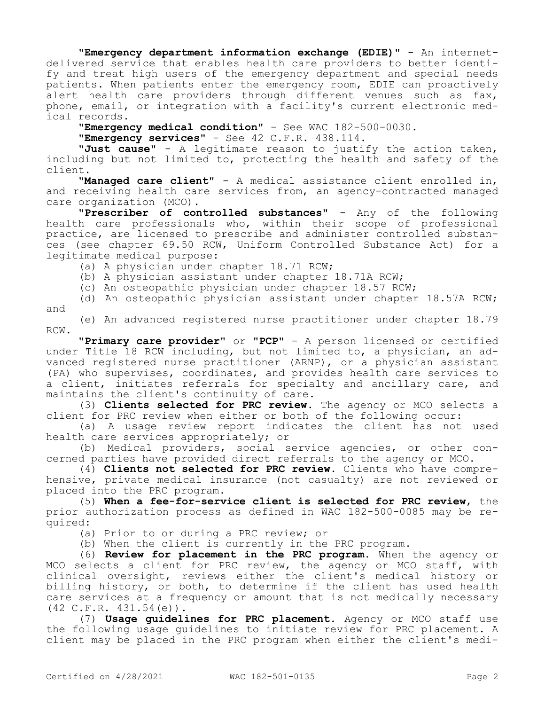**"Emergency department information exchange (EDIE)"** - An internetdelivered service that enables health care providers to better identify and treat high users of the emergency department and special needs patients. When patients enter the emergency room, EDIE can proactively alert health care providers through different venues such as fax, phone, email, or integration with a facility's current electronic medical records.

**"Emergency medical condition"** - See WAC 182-500-0030.

**"Emergency services"** - See 42 C.F.R. 438.114.

**"Just cause"** - A legitimate reason to justify the action taken, including but not limited to, protecting the health and safety of the client.

**"Managed care client"** - A medical assistance client enrolled in, and receiving health care services from, an agency-contracted managed care organization (MCO).

**"Prescriber of controlled substances"** - Any of the following health care professionals who, within their scope of professional practice, are licensed to prescribe and administer controlled substances (see chapter 69.50 RCW, Uniform Controlled Substance Act) for a legitimate medical purpose:

(a) A physician under chapter 18.71 RCW;

(b) A physician assistant under chapter 18.71A RCW;

(c) An osteopathic physician under chapter 18.57 RCW;

(d) An osteopathic physician assistant under chapter 18.57A RCW; and

(e) An advanced registered nurse practitioner under chapter 18.79 RCW.

**"Primary care provider"** or **"PCP"** - A person licensed or certified under Title 18 RCW including, but not limited to, a physician, an advanced registered nurse practitioner (ARNP), or a physician assistant (PA) who supervises, coordinates, and provides health care services to a client, initiates referrals for specialty and ancillary care, and maintains the client's continuity of care.

(3) **Clients selected for PRC review.** The agency or MCO selects a client for PRC review when either or both of the following occur:

(a) A usage review report indicates the client has not used health care services appropriately; or

(b) Medical providers, social service agencies, or other concerned parties have provided direct referrals to the agency or MCO.

(4) **Clients not selected for PRC review.** Clients who have comprehensive, private medical insurance (not casualty) are not reviewed or placed into the PRC program.

(5) **When a fee-for-service client is selected for PRC review**, the prior authorization process as defined in WAC 182-500-0085 may be required:

(a) Prior to or during a PRC review; or

(b) When the client is currently in the PRC program.

(6) **Review for placement in the PRC program.** When the agency or MCO selects a client for PRC review, the agency or MCO staff, with clinical oversight, reviews either the client's medical history or billing history, or both, to determine if the client has used health care services at a frequency or amount that is not medically necessary (42 C.F.R. 431.54(e)).

(7) **Usage guidelines for PRC placement.** Agency or MCO staff use the following usage guidelines to initiate review for PRC placement. A client may be placed in the PRC program when either the client's medi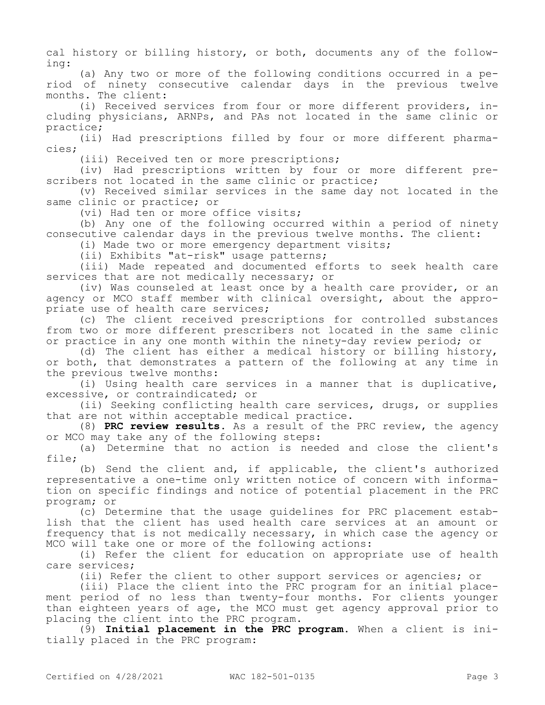cal history or billing history, or both, documents any of the following:

(a) Any two or more of the following conditions occurred in a period of ninety consecutive calendar days in the previous twelve months. The client:

(i) Received services from four or more different providers, including physicians, ARNPs, and PAs not located in the same clinic or practice;

(ii) Had prescriptions filled by four or more different pharmacies;

(iii) Received ten or more prescriptions;

(iv) Had prescriptions written by four or more different prescribers not located in the same clinic or practice;

(v) Received similar services in the same day not located in the same clinic or practice; or

(vi) Had ten or more office visits;

(b) Any one of the following occurred within a period of ninety consecutive calendar days in the previous twelve months. The client:

(i) Made two or more emergency department visits;

(ii) Exhibits "at-risk" usage patterns;

(iii) Made repeated and documented efforts to seek health care services that are not medically necessary; or

(iv) Was counseled at least once by a health care provider, or an agency or MCO staff member with clinical oversight, about the appropriate use of health care services;

(c) The client received prescriptions for controlled substances from two or more different prescribers not located in the same clinic or practice in any one month within the ninety-day review period; or

(d) The client has either a medical history or billing history, or both, that demonstrates a pattern of the following at any time in the previous twelve months:

(i) Using health care services in a manner that is duplicative, excessive, or contraindicated; or

(ii) Seeking conflicting health care services, drugs, or supplies that are not within acceptable medical practice.

(8) **PRC review results.** As a result of the PRC review, the agency or MCO may take any of the following steps:

(a) Determine that no action is needed and close the client's file;

(b) Send the client and, if applicable, the client's authorized representative a one-time only written notice of concern with information on specific findings and notice of potential placement in the PRC program; or

(c) Determine that the usage guidelines for PRC placement establish that the client has used health care services at an amount or frequency that is not medically necessary, in which case the agency or MCO will take one or more of the following actions:

(i) Refer the client for education on appropriate use of health care services;

(ii) Refer the client to other support services or agencies; or

(iii) Place the client into the PRC program for an initial placement period of no less than twenty-four months. For clients younger than eighteen years of age, the MCO must get agency approval prior to placing the client into the PRC program.

(9) **Initial placement in the PRC program.** When a client is initially placed in the PRC program: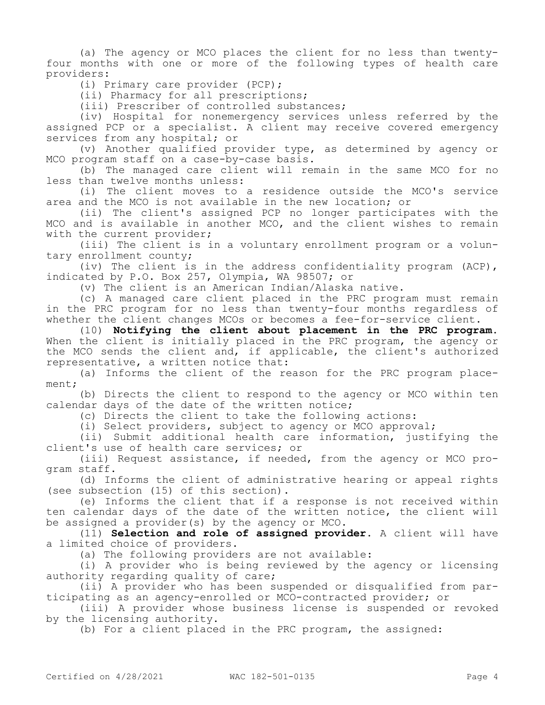(a) The agency or MCO places the client for no less than twentyfour months with one or more of the following types of health care providers:

(i) Primary care provider (PCP);

(ii) Pharmacy for all prescriptions;

(iii) Prescriber of controlled substances;

(iv) Hospital for nonemergency services unless referred by the assigned PCP or a specialist. A client may receive covered emergency services from any hospital; or

(v) Another qualified provider type, as determined by agency or MCO program staff on a case-by-case basis.

(b) The managed care client will remain in the same MCO for no less than twelve months unless:

(i) The client moves to a residence outside the MCO's service area and the MCO is not available in the new location; or

(ii) The client's assigned PCP no longer participates with the MCO and is available in another MCO, and the client wishes to remain with the current provider;

(iii) The client is in a voluntary enrollment program or a voluntary enrollment county;

(iv) The client is in the address confidentiality program (ACP), indicated by P.O. Box 257, Olympia, WA 98507; or

(v) The client is an American Indian/Alaska native.

(c) A managed care client placed in the PRC program must remain in the PRC program for no less than twenty-four months regardless of whether the client changes MCOs or becomes a fee-for-service client.

(10) **Notifying the client about placement in the PRC program.**  When the client is initially placed in the PRC program, the agency or the MCO sends the client and, if applicable, the client's authorized representative, a written notice that:

(a) Informs the client of the reason for the PRC program placement;

(b) Directs the client to respond to the agency or MCO within ten calendar days of the date of the written notice;

(c) Directs the client to take the following actions:

(i) Select providers, subject to agency or MCO approval;

(ii) Submit additional health care information, justifying the client's use of health care services; or

(iii) Request assistance, if needed, from the agency or MCO program staff.

(d) Informs the client of administrative hearing or appeal rights (see subsection (15) of this section).

(e) Informs the client that if a response is not received within ten calendar days of the date of the written notice, the client will be assigned a provider(s) by the agency or MCO.

(11) **Selection and role of assigned provider.** A client will have a limited choice of providers.

(a) The following providers are not available:

(i) A provider who is being reviewed by the agency or licensing authority regarding quality of care;

(ii) A provider who has been suspended or disqualified from participating as an agency-enrolled or MCO-contracted provider; or

(iii) A provider whose business license is suspended or revoked by the licensing authority.

(b) For a client placed in the PRC program, the assigned: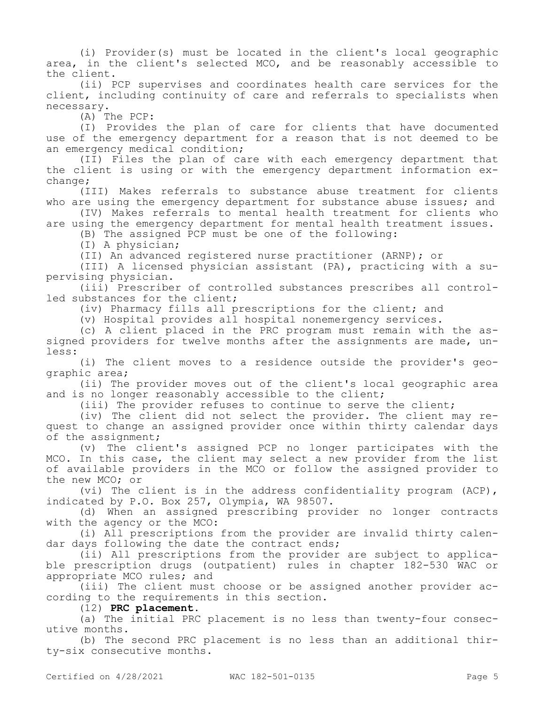(i) Provider(s) must be located in the client's local geographic area, in the client's selected MCO, and be reasonably accessible to the client.

(ii) PCP supervises and coordinates health care services for the client, including continuity of care and referrals to specialists when necessary.

(A) The PCP:

(I) Provides the plan of care for clients that have documented use of the emergency department for a reason that is not deemed to be an emergency medical condition;

(II) Files the plan of care with each emergency department that the client is using or with the emergency department information exchange;

(III) Makes referrals to substance abuse treatment for clients who are using the emergency department for substance abuse issues; and

(IV) Makes referrals to mental health treatment for clients who are using the emergency department for mental health treatment issues.

(B) The assigned PCP must be one of the following:

(I) A physician;

(II) An advanced registered nurse practitioner (ARNP); or

(III) A licensed physician assistant (PA), practicing with a supervising physician.

(iii) Prescriber of controlled substances prescribes all controlled substances for the client;

(iv) Pharmacy fills all prescriptions for the client; and

(v) Hospital provides all hospital nonemergency services.

(c) A client placed in the PRC program must remain with the assigned providers for twelve months after the assignments are made, unless:

(i) The client moves to a residence outside the provider's geographic area;

(ii) The provider moves out of the client's local geographic area and is no longer reasonably accessible to the client;

(iii) The provider refuses to continue to serve the client;

(iv) The client did not select the provider. The client may request to change an assigned provider once within thirty calendar days of the assignment;

(v) The client's assigned PCP no longer participates with the MCO. In this case, the client may select a new provider from the list of available providers in the MCO or follow the assigned provider to the new MCO; or

(vi) The client is in the address confidentiality program (ACP), indicated by P.O. Box 257, Olympia, WA 98507.

(d) When an assigned prescribing provider no longer contracts with the agency or the MCO:

(i) All prescriptions from the provider are invalid thirty calendar days following the date the contract ends;

(ii) All prescriptions from the provider are subject to applicable prescription drugs (outpatient) rules in chapter 182-530 WAC or appropriate MCO rules; and

(iii) The client must choose or be assigned another provider according to the requirements in this section.

(12) **PRC placement.**

(a) The initial PRC placement is no less than twenty-four consecutive months.

(b) The second PRC placement is no less than an additional thirty-six consecutive months.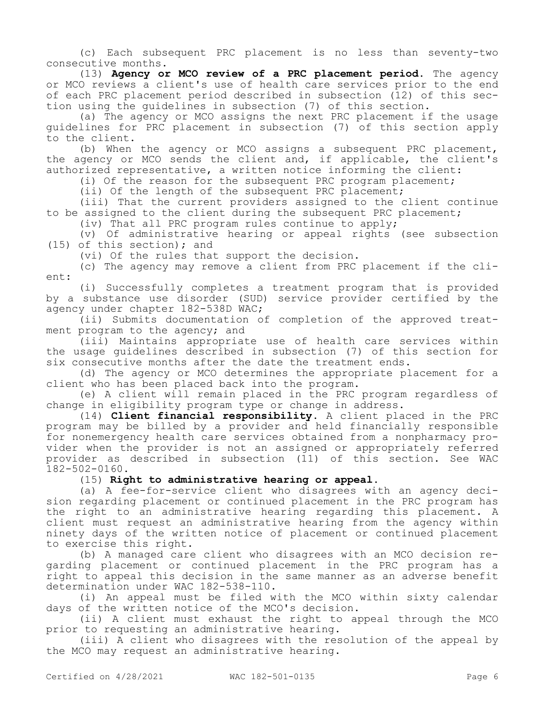(c) Each subsequent PRC placement is no less than seventy-two consecutive months.

(13) **Agency or MCO review of a PRC placement period.** The agency or MCO reviews a client's use of health care services prior to the end of each PRC placement period described in subsection (12) of this section using the guidelines in subsection (7) of this section.

(a) The agency or MCO assigns the next PRC placement if the usage guidelines for PRC placement in subsection (7) of this section apply to the client.

(b) When the agency or MCO assigns a subsequent PRC placement, the agency or MCO sends the client and, if applicable, the client's authorized representative, a written notice informing the client:

(i) Of the reason for the subsequent PRC program placement;

(ii) Of the length of the subsequent PRC placement;

(iii) That the current providers assigned to the client continue to be assigned to the client during the subsequent PRC placement;

(iv) That all PRC program rules continue to apply;

(v) Of administrative hearing or appeal rights (see subsection (15) of this section); and

(vi) Of the rules that support the decision.

(c) The agency may remove a client from PRC placement if the client:

(i) Successfully completes a treatment program that is provided by a substance use disorder (SUD) service provider certified by the agency under chapter 182-538D WAC;

(ii) Submits documentation of completion of the approved treatment program to the agency; and

(iii) Maintains appropriate use of health care services within the usage guidelines described in subsection (7) of this section for six consecutive months after the date the treatment ends.

(d) The agency or MCO determines the appropriate placement for a client who has been placed back into the program.

(e) A client will remain placed in the PRC program regardless of change in eligibility program type or change in address.

(14) **Client financial responsibility.** A client placed in the PRC program may be billed by a provider and held financially responsible for nonemergency health care services obtained from a nonpharmacy provider when the provider is not an assigned or appropriately referred provider as described in subsection (11) of this section. See WAC 182-502-0160.

## (15) **Right to administrative hearing or appeal.**

(a) A fee-for-service client who disagrees with an agency decision regarding placement or continued placement in the PRC program has the right to an administrative hearing regarding this placement. A client must request an administrative hearing from the agency within ninety days of the written notice of placement or continued placement to exercise this right.

(b) A managed care client who disagrees with an MCO decision regarding placement or continued placement in the PRC program has a right to appeal this decision in the same manner as an adverse benefit determination under WAC 182-538-110.

(i) An appeal must be filed with the MCO within sixty calendar days of the written notice of the MCO's decision.

(ii) A client must exhaust the right to appeal through the MCO prior to requesting an administrative hearing.

(iii) A client who disagrees with the resolution of the appeal by the MCO may request an administrative hearing.